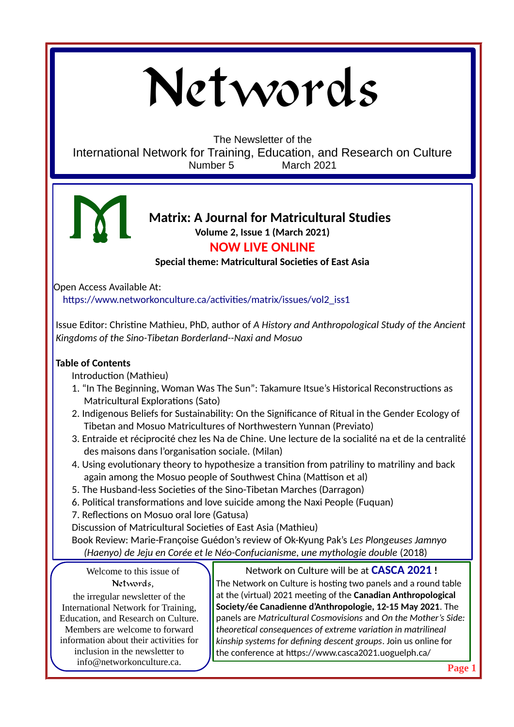# Networds

The Newsletter of the International Network for Training, Education, and Research on Culture Number 5 March 2021



## **Matrix: A Journal for Matricultural Studies Volume 2, Issue 1 (March 2021)**

# **NOW LIVE ONLINE**

**Special theme: Matricultural Societies of East Asia**

Open Access Available At: [https://www.networkonculture.ca/activities/matrix/issues/vol2\\_iss1](https://www.networkonculture.ca/activities/matrix/issues/vol2_iss1)

Issue Editor: Christine Mathieu, PhD, author of *A History and Anthropological Study of the Ancient Kingdoms of the Sino-Tibetan Borderland--Naxi and Mosuo*

### **Table of Contents**

Introduction (Mathieu)

- 1. "In The Beginning, Woman Was The Sun": Takamure Itsue's Historical Reconstructions as Matricultural Explorations (Sato)
- 2. Indigenous Beliefs for Sustainability: On the Significance of Ritual in the Gender Ecology of Tibetan and Mosuo Matricultures of Northwestern Yunnan (Previato)
- 3. Entraide et réciprocité chez les Na de Chine. Une lecture de la socialité na et de la centralité des maisons dans l'organisation sociale. (Milan)
- 4. Using evolutionary theory to hypothesize a transition from patriliny to matriliny and back again among the Mosuo people of Southwest China (Mattison et al)
- 5. The Husband-less Societies of the Sino-Tibetan Marches (Darragon)
- 6. Political transformations and love suicide among the Naxi People (Fuquan)
- 7. Reflections on Mosuo oral lore (Gatusa)
- Discussion of Matricultural Societies of East Asia (Mathieu)

Book Review: Marie-Françoise Guédon's review of Ok-Kyung Pak's *Les Plongeuses Jamnyo (Haenyo) de Jeju en Corée et le Néo-Confucianisme, une mythologie double* (2018)

Welcome to this issue of Networds,

the irregular newsletter of the International Network for Training, Education, and Research on Culture. Members are welcome to forward information about their activities for inclusion in the newsletter to info@networkonculture.ca.

Network on Culture will be at **CASCA 2021 !** The Network on Culture is hosting two panels and a round table at the (virtual) 2021 meeting of the **Canadian Anthropological Society/ée Canadienne d'Anthropologie, 12-15 May 2021**. The panels are *Matricultural Cosmovisions* and *On the Mother's Side: theoretical consequences of extreme variation in matrilineal kinship systems for defining descent groups*. Join us online for the conference at <https://www.casca2021.uoguelph.ca/>

**Page 1**